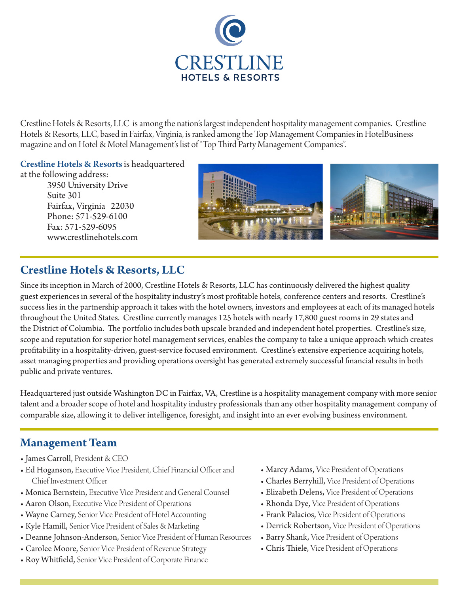

Crestline Hotels & Resorts, LLC is among the nation's largest independent hospitality management companies. Crestline Hotels & Resorts, LLC, based in Fairfax, Virginia, is ranked among the Top Management Companies in HotelBusiness magazine and on Hotel & Motel Management's list of "Top Third Party Management Companies".

Crestline Hotels & Resorts is headquartered

at the following address: 3950 University Drive Suite 301 Fairfax, Virginia 22030 Phone: 571-529-6100 Fax: 571-529-6095 www.crestlinehotels.com



# **Crestline Hotels & Resorts, LLC**

Since its inception in March of 2000, Crestline Hotels & Resorts, LLC has continuously delivered the highest quality guest experiences in several of the hospitality industry's most profitable hotels, conference centers and resorts. Crestline's success lies in the partnership approach it takes with the hotel owners, investors and employees at each of its managed hotels throughout the United States. Crestline currently manages 125 hotels with nearly 17,800 guest rooms in 29 states and the District of Columbia. The portfolio includes both upscale branded and independent hotel properties. Crestline's size, scope and reputation for superior hotel management services, enables the company to take a unique approach which creates profitability in a hospitality-driven, guest-service focused environment. Crestline's extensive experience acquiring hotels, asset managing properties and providing operations oversight has generated extremely successful financial results in both public and private ventures.

Headquartered just outside Washington DC in Fairfax, VA, Crestline is a hospitality management company with more senior talent and a broader scope of hotel and hospitality industry professionals than any other hospitality management company of comparable size, allowing it to deliver intelligence, foresight, and insight into an ever evolving business environment.

## **Management Team**

- James Carroll, President & CEO
- Ed Hoganson, Executive Vice President, Chief Financial Officer and Chief Investment Officer
- Monica Bernstein, Executive Vice President and General Counsel
- Aaron Olson, Executive Vice President of Operations
- Wayne Carney, Senior Vice President of Hotel Accounting
- Kyle Hamill, Senior Vice President of Sales & Marketing
- Deanne Johnson-Anderson, Senior Vice President of Human Resources
- Carolee Moore, Senior Vice President of Revenue Strategy
- Roy Whitfield, Senior Vice President of Corporate Finance
- Marcy Adams, Vice President of Operations
- Charles Berryhill, Vice President of Operations
- Elizabeth Delens, Vice President of Operations
- Rhonda Dye, Vice President of Operations
- Frank Palacios, Vice President of Operations
- Derrick Robertson, Vice President of Operations
- Barry Shank, Vice President of Operations
- Chris Thiele, Vice President of Operations